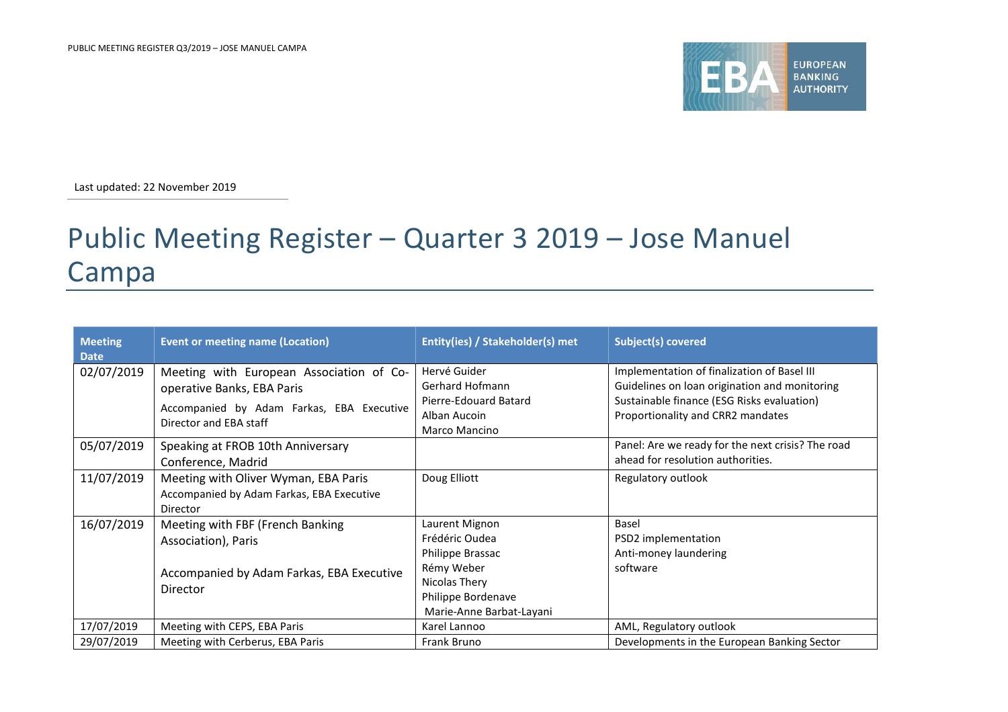

Last updated: 22 November 2019

## Public Meeting Register – Quarter 3 2019 – Jose Manuel Campa

| <b>Meeting</b><br><b>Date</b> | <b>Event or meeting name (Location)</b>                                                                                                       | Entity(ies) / Stakeholder(s) met                                                                                                      | Subject(s) covered                                                                                                                                                              |
|-------------------------------|-----------------------------------------------------------------------------------------------------------------------------------------------|---------------------------------------------------------------------------------------------------------------------------------------|---------------------------------------------------------------------------------------------------------------------------------------------------------------------------------|
| 02/07/2019                    | Meeting with European Association of Co-<br>operative Banks, EBA Paris<br>Accompanied by Adam Farkas, EBA Executive<br>Director and EBA staff | Hervé Guider<br>Gerhard Hofmann<br>Pierre-Edouard Batard<br>Alban Aucoin<br>Marco Mancino                                             | Implementation of finalization of Basel III<br>Guidelines on loan origination and monitoring<br>Sustainable finance (ESG Risks evaluation)<br>Proportionality and CRR2 mandates |
| 05/07/2019                    | Speaking at FROB 10th Anniversary<br>Conference, Madrid                                                                                       |                                                                                                                                       | Panel: Are we ready for the next crisis? The road<br>ahead for resolution authorities.                                                                                          |
| 11/07/2019                    | Meeting with Oliver Wyman, EBA Paris<br>Accompanied by Adam Farkas, EBA Executive<br>Director                                                 | Doug Elliott                                                                                                                          | Regulatory outlook                                                                                                                                                              |
| 16/07/2019                    | Meeting with FBF (French Banking<br>Association), Paris<br>Accompanied by Adam Farkas, EBA Executive<br><b>Director</b>                       | Laurent Mignon<br>Frédéric Oudea<br>Philippe Brassac<br>Rémy Weber<br>Nicolas Thery<br>Philippe Bordenave<br>Marie-Anne Barbat-Layani | Basel<br>PSD2 implementation<br>Anti-money laundering<br>software                                                                                                               |
| 17/07/2019                    | Meeting with CEPS, EBA Paris                                                                                                                  | Karel Lannoo                                                                                                                          | AML, Regulatory outlook                                                                                                                                                         |
| 29/07/2019                    | Meeting with Cerberus, EBA Paris                                                                                                              | Frank Bruno                                                                                                                           | Developments in the European Banking Sector                                                                                                                                     |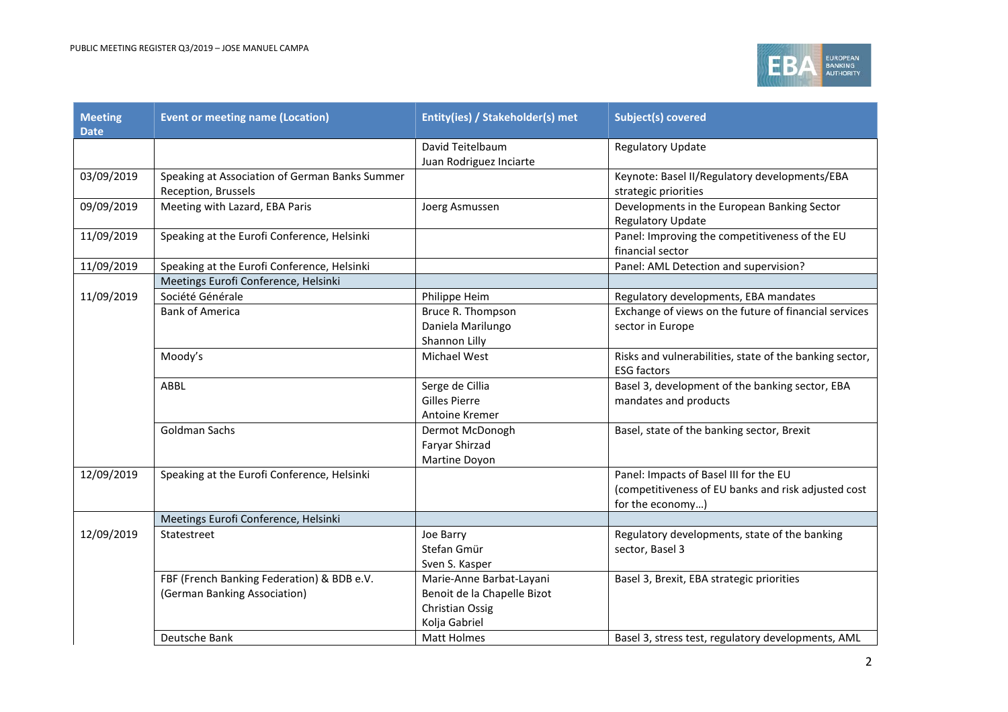

| <b>Meeting</b><br><b>Date</b> | <b>Event or meeting name (Location)</b>                                    | Entity(ies) / Stakeholder(s) met                                                                   | <b>Subject(s) covered</b>                                                                                         |
|-------------------------------|----------------------------------------------------------------------------|----------------------------------------------------------------------------------------------------|-------------------------------------------------------------------------------------------------------------------|
|                               |                                                                            | David Teitelbaum<br>Juan Rodriguez Inciarte                                                        | <b>Regulatory Update</b>                                                                                          |
| 03/09/2019                    | Speaking at Association of German Banks Summer<br>Reception, Brussels      |                                                                                                    | Keynote: Basel II/Regulatory developments/EBA<br>strategic priorities                                             |
| 09/09/2019                    | Meeting with Lazard, EBA Paris                                             | Joerg Asmussen                                                                                     | Developments in the European Banking Sector<br><b>Regulatory Update</b>                                           |
| 11/09/2019                    | Speaking at the Eurofi Conference, Helsinki                                |                                                                                                    | Panel: Improving the competitiveness of the EU<br>financial sector                                                |
| 11/09/2019                    | Speaking at the Eurofi Conference, Helsinki                                |                                                                                                    | Panel: AML Detection and supervision?                                                                             |
|                               | Meetings Eurofi Conference, Helsinki                                       |                                                                                                    |                                                                                                                   |
| 11/09/2019                    | Société Générale                                                           | Philippe Heim                                                                                      | Regulatory developments, EBA mandates                                                                             |
|                               | <b>Bank of America</b>                                                     | Bruce R. Thompson<br>Daniela Marilungo<br>Shannon Lilly                                            | Exchange of views on the future of financial services<br>sector in Europe                                         |
|                               | Moody's                                                                    | Michael West                                                                                       | Risks and vulnerabilities, state of the banking sector,<br><b>ESG factors</b>                                     |
|                               | ABBL                                                                       | Serge de Cillia<br><b>Gilles Pierre</b><br>Antoine Kremer                                          | Basel 3, development of the banking sector, EBA<br>mandates and products                                          |
|                               | Goldman Sachs                                                              | Dermot McDonogh<br>Faryar Shirzad<br>Martine Doyon                                                 | Basel, state of the banking sector, Brexit                                                                        |
| 12/09/2019                    | Speaking at the Eurofi Conference, Helsinki                                |                                                                                                    | Panel: Impacts of Basel III for the EU<br>(competitiveness of EU banks and risk adjusted cost<br>for the economy) |
|                               | Meetings Eurofi Conference, Helsinki                                       |                                                                                                    |                                                                                                                   |
| 12/09/2019                    | Statestreet                                                                | Joe Barry<br>Stefan Gmür<br>Sven S. Kasper                                                         | Regulatory developments, state of the banking<br>sector, Basel 3                                                  |
|                               | FBF (French Banking Federation) & BDB e.V.<br>(German Banking Association) | Marie-Anne Barbat-Layani<br>Benoit de la Chapelle Bizot<br><b>Christian Ossig</b><br>Kolja Gabriel | Basel 3, Brexit, EBA strategic priorities                                                                         |
|                               | Deutsche Bank                                                              | Matt Holmes                                                                                        | Basel 3, stress test, regulatory developments, AML                                                                |